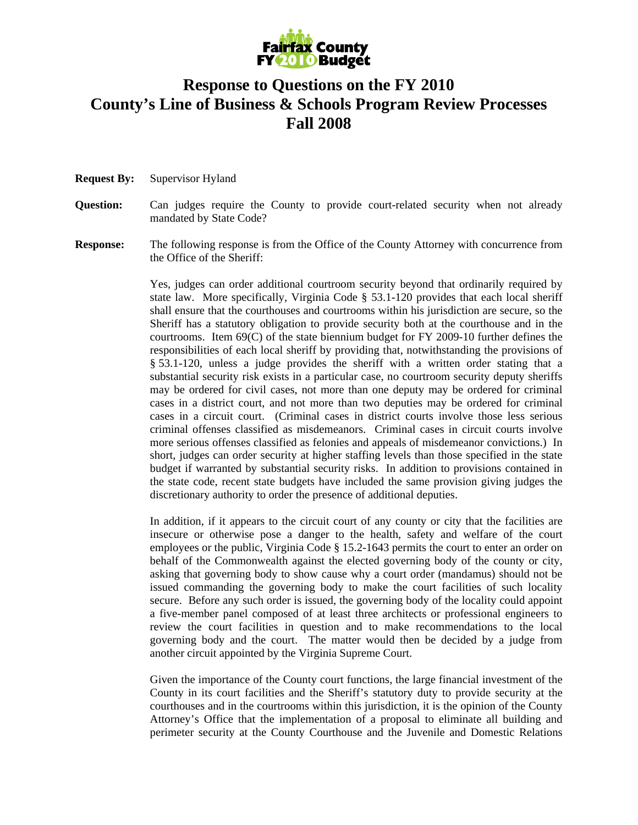

## **Response to Questions on the FY 2010 County's Line of Business & Schools Program Review Processes Fall 2008**

**Request By:** Supervisor Hyland

## **Question:** Can judges require the County to provide court-related security when not already mandated by State Code?

**Response:** The following response is from the Office of the County Attorney with concurrence from the Office of the Sheriff:

> Yes, judges can order additional courtroom security beyond that ordinarily required by state law. More specifically, Virginia Code § 53.1-120 provides that each local sheriff shall ensure that the courthouses and courtrooms within his jurisdiction are secure, so the Sheriff has a statutory obligation to provide security both at the courthouse and in the courtrooms. Item 69(C) of the state biennium budget for FY 2009-10 further defines the responsibilities of each local sheriff by providing that, notwithstanding the provisions of § 53.1-120, unless a judge provides the sheriff with a written order stating that a substantial security risk exists in a particular case, no courtroom security deputy sheriffs may be ordered for civil cases, not more than one deputy may be ordered for criminal cases in a district court, and not more than two deputies may be ordered for criminal cases in a circuit court. (Criminal cases in district courts involve those less serious criminal offenses classified as misdemeanors. Criminal cases in circuit courts involve more serious offenses classified as felonies and appeals of misdemeanor convictions.) In short, judges can order security at higher staffing levels than those specified in the state budget if warranted by substantial security risks. In addition to provisions contained in the state code, recent state budgets have included the same provision giving judges the discretionary authority to order the presence of additional deputies.

> In addition, if it appears to the circuit court of any county or city that the facilities are insecure or otherwise pose a danger to the health, safety and welfare of the court employees or the public, Virginia Code § 15.2-1643 permits the court to enter an order on behalf of the Commonwealth against the elected governing body of the county or city, asking that governing body to show cause why a court order (mandamus) should not be issued commanding the governing body to make the court facilities of such locality secure. Before any such order is issued, the governing body of the locality could appoint a five-member panel composed of at least three architects or professional engineers to review the court facilities in question and to make recommendations to the local governing body and the court. The matter would then be decided by a judge from another circuit appointed by the Virginia Supreme Court.

> Given the importance of the County court functions, the large financial investment of the County in its court facilities and the Sheriff's statutory duty to provide security at the courthouses and in the courtrooms within this jurisdiction, it is the opinion of the County Attorney's Office that the implementation of a proposal to eliminate all building and perimeter security at the County Courthouse and the Juvenile and Domestic Relations